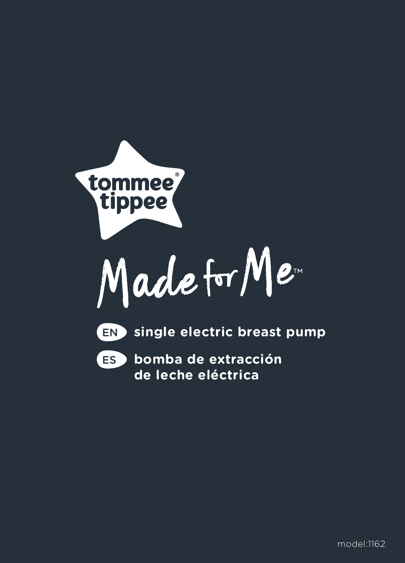



**bomba de extracción**  ES **de leche eléctrica**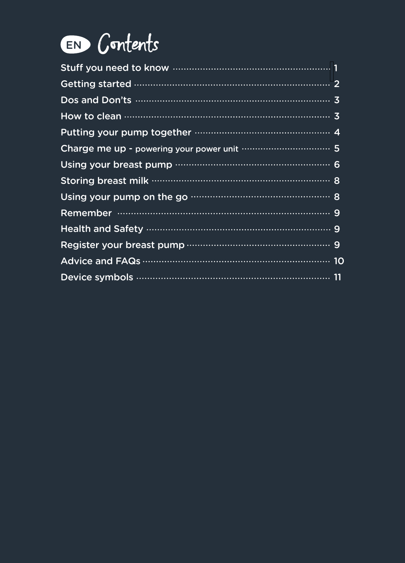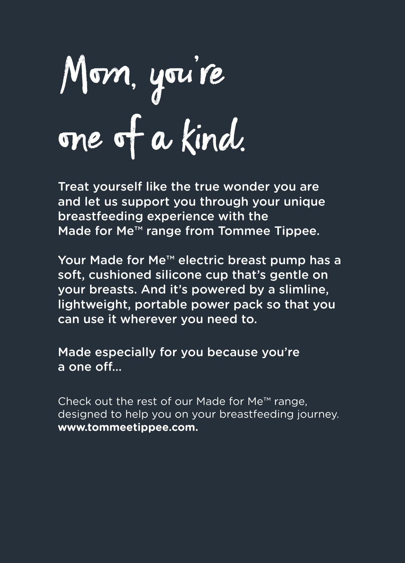# Mom, you're one of a kind.

Treat yourself like the true wonder you are and let us support you through your unique breastfeeding experience with the Made for Me™ range from Tommee Tippee.

Your Made for Me™ electric breast pump has a soft, cushioned silicone cup that's gentle on your breasts. And it's powered by a slimline, lightweight, portable power pack so that you can use it wherever you need to.

Made especially for you because you're a one off…

Check out the rest of our Made for Me™ range, designed to help you on your breastfeeding journey. **www.tommeetippee.com.**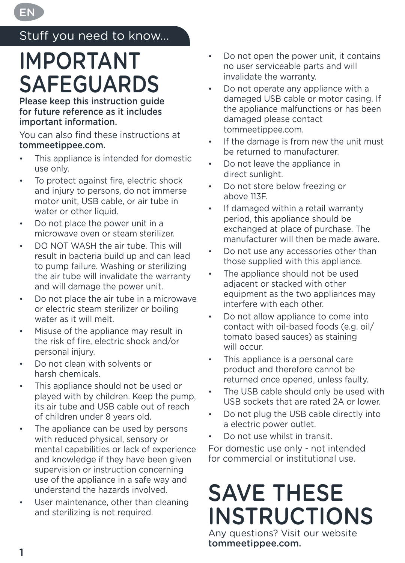# Stuff you need to know...

EN

# IMPORTANT SAFEGUARDS

Please keep this instruction guide for future reference as it includes important information.

You can also find these instructions at tommeetippee.com.

- This appliance is intended for domestic use only.
- To protect against fire, electric shock and injury to persons, do not immerse motor unit, USB cable, or air tube in water or other liquid.
- Do not place the power unit in a microwave oven or steam sterilizer.
- DO NOT WASH the air tube. This will result in bacteria build up and can lead to pump failure. Washing or sterilizing the air tube will invalidate the warranty and will damage the power unit.
- Do not place the air tube in a microwave or electric steam sterilizer or boiling water as it will melt.
- Misuse of the appliance may result in the risk of fire, electric shock and/or personal injury.
- Do not clean with solvents or harsh chemicals.
- This appliance should not be used or played with by children. Keep the pump, its air tube and USB cable out of reach of children under 8 years old.
- The appliance can be used by persons with reduced physical, sensory or mental capabilities or lack of experience and knowledge if they have been given supervision or instruction concerning use of the appliance in a safe way and understand the hazards involved.
- User maintenance, other than cleaning and sterilizing is not required.
- Do not open the power unit, it contains no user serviceable parts and will invalidate the warranty.
- Do not operate any appliance with a damaged USB cable or motor casing. If the appliance malfunctions or has been damaged please contact tommeetippee.com.
- If the damage is from new the unit must be returned to manufacturer.
- Do not leave the appliance in direct sunlight.
- Do not store below freezing or above 113F.
- If damaged within a retail warranty period, this appliance should be exchanged at place of purchase. The manufacturer will then be made aware.
- Do not use any accessories other than those supplied with this appliance.
- The appliance should not be used adjacent or stacked with other equipment as the two appliances may interfere with each other.
- Do not allow appliance to come into contact with oil-based foods (e.g. oil/ tomato based sauces) as staining will occur.
- This appliance is a personal care product and therefore cannot be returned once opened, unless faulty.
- The USB cable should only be used with USB sockets that are rated 2A or lower.
- Do not plug the USB cable directly into a electric power outlet.
- Do not use whilst in transit.

For domestic use only - not intended for commercial or institutional use.

# SAVE THESE INSTRUCTIONS

Any questions? Visit our website tommeetippee.com.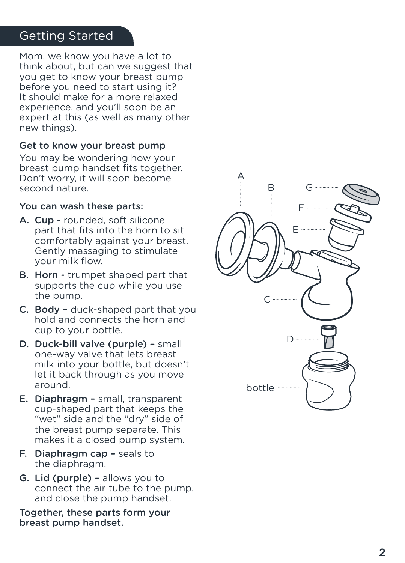# Getting Started

Mom, we know you have a lot to think about, but can we suggest that you get to know your breast pump before you need to start using it? It should make for a more relaxed experience, and you'll soon be an expert at this (as well as many other new things).

#### Get to know your breast pump

You may be wondering how your breast pump handset fits together. Don't worry, it will soon become second nature.

#### You can wash these parts:

- A. Cup rounded, soft silicone part that fits into the horn to sit comfortably against your breast. Gently massaging to stimulate your milk flow.
- B. Horn trumpet shaped part that supports the cup while you use the pump.
- C. Body duck-shaped part that you hold and connects the horn and cup to your bottle.
- D. Duck-bill valve (purple) small one-way valve that lets breast milk into your bottle, but doesn't let it back through as you move around.
- E. Diaphragm small, transparent cup-shaped part that keeps the "wet" side and the "dry" side of the breast pump separate. This makes it a closed pump system.
- F. Diaphragm cap seals to the diaphragm.
- G. Lid (purple) allows you to connect the air tube to the pump, and close the pump handset.

Together, these parts form your breast pump handset.

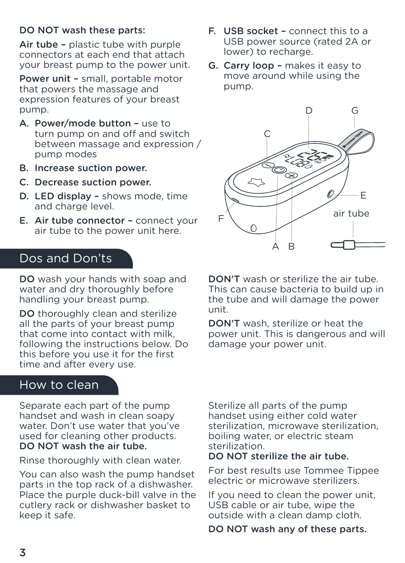#### DO NOT wash these parts:

Air tube – plastic tube with purple connectors at each end that attach your breast pump to the power unit.

Power unit – small, portable motor that powers the massage and expression features of your breast pump.

- A. Power/mode button use to turn pump on and off and switch between massage and expression / pump modes
- B. Increase suction power.
- C. Decrease suction power.
- D. LED display shows mode, time and charge level.
- E. Air tube connector connect your air tube to the power unit here.

# Dos and Don'ts

DO wash your hands with soap and water and dry thoroughly before handling your breast pump.

DO thoroughly clean and sterilize all the parts of your breast pump that come into contact with milk, following the instructions below. Do this before you use it for the first time and after every use.

### How to clean

Separate each part of the pump handset and wash in clean soapy water. Don't use water that you've used for cleaning other products. DO NOT wash the air tube.

Rinse thoroughly with clean water.

You can also wash the pump handset parts in the top rack of a dishwasher. Place the purple duck-bill valve in the cutlery rack or dishwasher basket to keep it safe.

- F. USB socket connect this to a USB power source (rated 2A or lower) to recharge.
- G. Carry loop makes it easy to move around while using the pump.



DON'T wash or sterilize the air tube. This can cause bacteria to build up in the tube and will damage the power unit.

DON'T wash, sterilize or heat the power unit. This is dangerous and will damage your power unit.

Sterilize all parts of the pump handset using either cold water sterilization, microwave sterilization, boiling water, or electric steam sterilization.

#### DO NOT sterilize the air tube.

For best results use Tommee Tippee electric or microwave sterilizers.

If you need to clean the power unit, USB cable or air tube, wipe the outside with a clean damp cloth.

DO NOT wash any of these parts.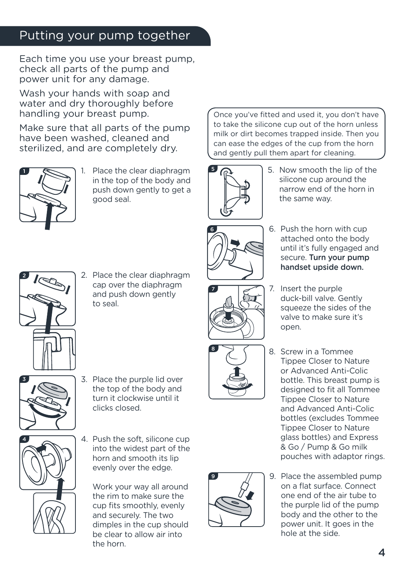# Putting your pump together

Each time you use your breast pump, check all parts of the pump and power unit for any damage.

Wash your hands with soap and water and dry thoroughly before handling your breast pump.

Make sure that all parts of the pump have been washed, cleaned and sterilized, and are completely dry.



Place the clear diaphragm in the top of the body and push down gently to get a good seal.

Once you've fitted and used it, you don't have to take the silicone cup out of the horn unless milk or dirt becomes trapped inside. Then you can ease the edges of the cup from the horn and gently pull them apart for cleaning.



5. Now smooth the lip of the silicone cup around the narrow end of the horn in the same way.



6. Push the horn with cup attached onto the body until it's fully engaged and secure. Turn your pump handset upside down.

- 2
- 2. Place the clear diaphragm cap over the diaphragm and push down gently to seal.



3. Place the purple lid over the top of the body and turn it clockwise until it clicks closed.



4. Push the soft, silicone cup into the widest part of the horn and smooth its lip evenly over the edge.

Work your way all around the rim to make sure the cup fits smoothly, evenly and securely. The two dimples in the cup should be clear to allow air into the horn.





- 7. Insert the purple duck-bill valve. Gently squeeze the sides of the valve to make sure it's open.
- 8. Screw in a Tommee Tippee Closer to Nature or Advanced Anti-Colic bottle. This breast pump is designed to fit all Tommee Tippee Closer to Nature and Advanced Anti-Colic bottles (excludes Tommee Tippee Closer to Nature glass bottles) and Express & Go / Pump & Go milk pouches with adaptor rings.



9. Place the assembled pump on a flat surface. Connect one end of the air tube to the purple lid of the pump body and the other to the power unit. It goes in the hole at the side.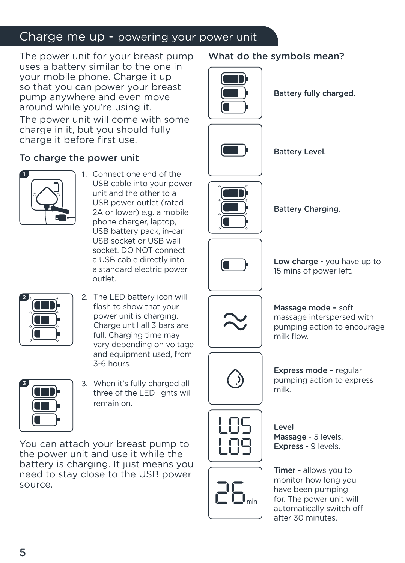# Charge me up - powering your power unit

The power unit for your breast pump uses a battery similar to the one in your mobile phone. Charge it up so that you can power your breast pump anywhere and even move around while you're using it.

The power unit will come with some charge in it, but you should fully charge it before first use.

#### To charge the power unit



1. Connect one end of the USB cable into your power unit and the other to a USB power outlet (rated 2A or lower) e.g. a mobile phone charger, laptop, USB battery pack, in-car USB socket or USB wall socket. DO NOT connect a USB cable directly into a standard electric power outlet.



2. The LED battery icon will flash to show that your power unit is charging. Charge until all 3 bars are full. Charging time may vary depending on voltage and equipment used, from 3-6 hours.



3. When it's fully charged all three of the LED lights will remain on.

You can attach your breast pump to the power unit and use it while the battery is charging. It just means you need to stay close to the USB power source.

What do the symbols mean?



Battery fully charged.





Battery Charging.

Battery Level.



Low charge - you have up to 15 mins of power left.



Massage mode – soft massage interspersed with pumping action to encourage milk flow.



Express mode – regular pumping action to express milk.



Level Massage - 5 levels. Express - 9 levels.

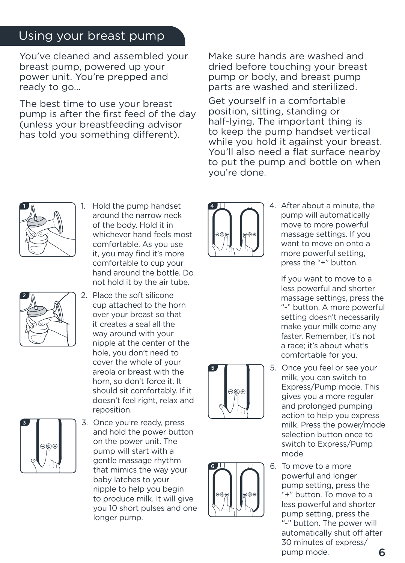# Using your breast pump

You've cleaned and assembled your breast pump, powered up your power unit. You're prepped and ready to go...

The best time to use your breast pump is after the first feed of the day (unless your breastfeeding advisor has told you something different).

Make sure hands are washed and dried before touching your breast pump or body, and breast pump parts are washed and sterilized.

Get yourself in a comfortable position, sitting, standing or half-lying. The important thing is to keep the pump handset vertical while you hold it against your breast. You'll also need a flat surface nearby to put the pump and bottle on when you're done.



- 2
- 1. Hold the pump handset around the narrow neck of the body. Hold it in whichever hand feels most comfortable. As you use it, you may find it's more comfortable to cup your hand around the bottle. Do not hold it by the air tube.
- 2. Place the soft silicone cup attached to the horn over your breast so that it creates a seal all the way around with your nipple at the center of the hole, you don't need to cover the whole of your areola or breast with the horn, so don't force it. It should sit comfortably. If it doesn't feel right, relax and reposition.
- 3
	- 3. Once you're ready, press and hold the power button on the power unit. The pump will start with a gentle massage rhythm that mimics the way your baby latches to your nipple to help you begin to produce milk. It will give you 10 short pulses and one longer pump.



5

6

4. After about a minute, the pump will automatically move to more powerful massage settings. If you want to move on onto a more powerful setting, press the "+" button.

If you want to move to a less powerful and shorter massage settings, press the "-" button. A more powerful setting doesn't necessarily make your milk come any faster. Remember, it's not a race; it's about what's comfortable for you.

- 5. Once you feel or see your milk, you can switch to Express/Pump mode. This gives you a more regular and prolonged pumping action to help you express milk. Press the power/mode selection button once to switch to Express/Pump mode.
- 6. To move to a more powerful and longer pump setting, press the "+" button. To move to a less powerful and shorter pump setting, press the "-" button. The power will automatically shut off after 30 minutes of express/ pump mode.

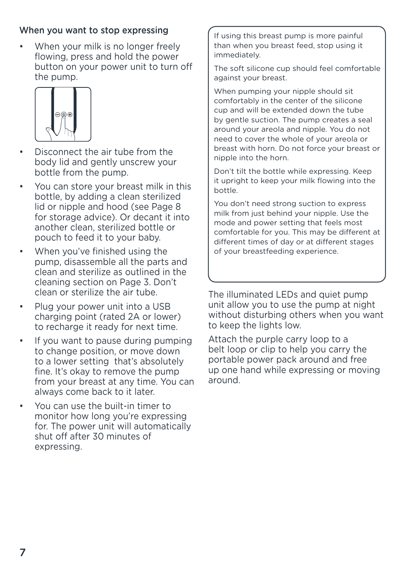#### When you want to stop expressing

• When your milk is no longer freely flowing, press and hold the power button on your power unit to turn off the pump.



- Disconnect the air tube from the body lid and gently unscrew your bottle from the pump.
- You can store your breast milk in this bottle, by adding a clean sterilized lid or nipple and hood (see Page 8 for storage advice). Or decant it into another clean, sterilized bottle or pouch to feed it to your baby.
- When you've finished using the pump, disassemble all the parts and clean and sterilize as outlined in the cleaning section on Page 3. Don't clean or sterilize the air tube.
- Plug your power unit into a USB charging point (rated 2A or lower) to recharge it ready for next time.
- If you want to pause during pumping to change position, or move down to a lower setting that's absolutely fine. It's okay to remove the pump from your breast at any time. You can always come back to it later.
- You can use the built-in timer to monitor how long you're expressing for. The power unit will automatically shut off after 30 minutes of expressing.

If using this breast pump is more painful than when you breast feed, stop using it immediately.

The soft silicone cup should feel comfortable against your breast.

When pumping your nipple should sit comfortably in the center of the silicone cup and will be extended down the tube by gentle suction. The pump creates a seal around your areola and nipple. You do not need to cover the whole of your areola or breast with horn. Do not force your breast or nipple into the horn.

Don't tilt the bottle while expressing. Keep it upright to keep your milk flowing into the bottle.

You don't need strong suction to express milk from just behind your nipple. Use the mode and power setting that feels most comfortable for you. This may be different at different times of day or at different stages of your breastfeeding experience.

The illuminated LEDs and quiet pump unit allow you to use the pump at night without disturbing others when you want to keep the lights low.

Attach the purple carry loop to a belt loop or clip to help you carry the portable power pack around and free up one hand while expressing or moving around.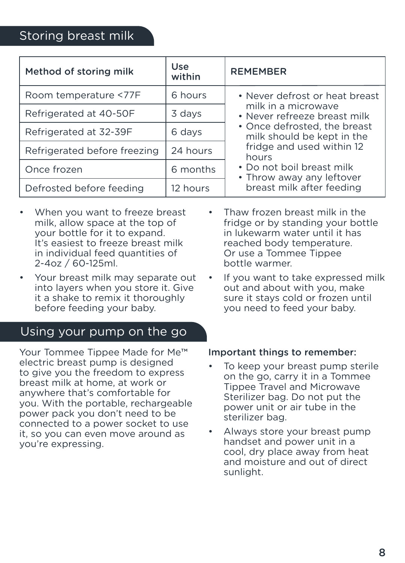| Method of storing milk       | Use<br>within | <b>REMEMBER</b>                                                                                                                                                                                                                                                                  |
|------------------------------|---------------|----------------------------------------------------------------------------------------------------------------------------------------------------------------------------------------------------------------------------------------------------------------------------------|
| Room temperature <77F        | 6 hours       | • Never defrost or heat breast<br>milk in a microwave<br>• Never refreeze breast milk<br>• Once defrosted, the breast<br>milk should be kept in the<br>fridge and used within 12<br>hours<br>• Do not boil breast milk<br>• Throw away any leftover<br>breast milk after feeding |
| Refrigerated at 40-50F       | 3 days        |                                                                                                                                                                                                                                                                                  |
| Refrigerated at 32-39F       | 6 days        |                                                                                                                                                                                                                                                                                  |
| Refrigerated before freezing | 24 hours      |                                                                                                                                                                                                                                                                                  |
| Once frozen                  | 6 months      |                                                                                                                                                                                                                                                                                  |
| Defrosted before feeding     | 12 hours      |                                                                                                                                                                                                                                                                                  |

- When you want to freeze breast milk, allow space at the top of your bottle for it to expand. It's easiest to freeze breast milk in individual feed quantities of 2-4oz / 60-125ml.
- Your breast milk may separate out into layers when you store it. Give it a shake to remix it thoroughly before feeding your baby.

# Using your pump on the go

Your Tommee Tippee Made for Me™ electric breast pump is designed to give you the freedom to express breast milk at home, at work or anywhere that's comfortable for you. With the portable, rechargeable power pack you don't need to be connected to a power socket to use it, so you can even move around as you're expressing.

- Thaw frozen breast milk in the fridge or by standing your bottle in lukewarm water until it has reached body temperature. Or use a Tommee Tippee bottle warmer.
- If you want to take expressed milk out and about with you, make sure it stays cold or frozen until you need to feed your baby.

#### Important things to remember:

- To keep your breast pump sterile on the go, carry it in a Tommee Tippee Travel and Microwave Sterilizer bag. Do not put the power unit or air tube in the sterilizer bag.
- Always store your breast pump handset and power unit in a cool, dry place away from heat and moisture and out of direct sunlight.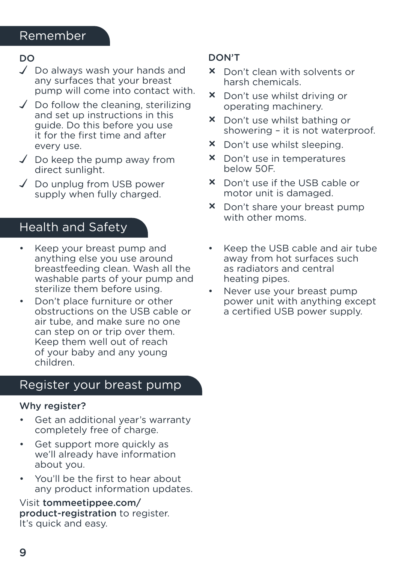# Remember

#### DO

- $\sqrt{ }$  Do always wash your hands and any surfaces that your breast pump will come into contact with.
- $\checkmark$  Do follow the cleaning, sterilizing and set up instructions in this guide. Do this before you use it for the first time and after every use.
- $\checkmark$  Do keep the pump away from direct sunlight.
- $\sqrt{\phantom{a}}$  Do unplug from USB power supply when fully charged.

### Health and Safety

- Keep your breast pump and anything else you use around breastfeeding clean. Wash all the washable parts of your pump and sterilize them before using.
- Don't place furniture or other obstructions on the USB cable or air tube, and make sure no one can step on or trip over them. Keep them well out of reach of your baby and any young children.

### Register your breast pump

#### Why register?

- Get an additional year's warranty completely free of charge.
- Get support more quickly as we'll already have information about you.
- You'll be the first to hear about any product information updates.

Visit tommeetippee.com/ product-registration to register. It's quick and easy.

#### DON'T

- × Don't clean with solvents or harsh chemicals.
- × Don't use whilst driving or operating machinery.
- × Don't use whilst bathing or showering – it is not waterproof.
- × Don't use whilst sleeping.
- × Don't use in temperatures below 50F.
- × Don't use if the USB cable or motor unit is damaged.
- × Don't share your breast pump with other moms.
- Keep the USB cable and air tube away from hot surfaces such as radiators and central heating pipes.
- Never use your breast pump power unit with anything except a certified USB power supply.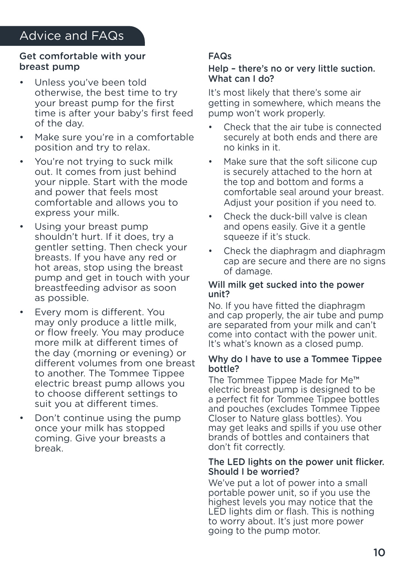#### Get comfortable with your breast pump

- Unless you've been told otherwise, the best time to try your breast pump for the first time is after your baby's first feed of the day.
- Make sure you're in a comfortable position and try to relax.
- You're not trying to suck milk out. It comes from just behind your nipple. Start with the mode and power that feels most comfortable and allows you to express your milk.
- Using your breast pump shouldn't hurt. If it does, try a gentler setting. Then check your breasts. If you have any red or hot areas, stop using the breast pump and get in touch with your breastfeeding advisor as soon as possible.
- Every mom is different. You may only produce a little milk, or flow freely. You may produce more milk at different times of the day (morning or evening) or different volumes from one breast to another. The Tommee Tippee electric breast pump allows you to choose different settings to suit you at different times.
- Don't continue using the pump once your milk has stopped coming. Give your breasts a break.

#### FAQs

#### Help – there's no or very little suction. What can I do?

It's most likely that there's some air getting in somewhere, which means the pump won't work properly.

- Check that the air tube is connected securely at both ends and there are no kinks in it.
- Make sure that the soft silicone cup is securely attached to the horn at the top and bottom and forms a comfortable seal around your breast. Adjust your position if you need to.
- Check the duck-bill valve is clean and opens easily. Give it a gentle squeeze if it's stuck.
- Check the diaphragm and diaphragm cap are secure and there are no signs of damage.

#### Will milk get sucked into the power unit?

No. If you have fitted the diaphragm and cap properly, the air tube and pump are separated from your milk and can't come into contact with the power unit. It's what's known as a closed pump.

#### Why do I have to use a Tommee Tippee bottle?

The Tommee Tippee Made for Me™ electric breast pump is designed to be a perfect fit for Tommee Tippee bottles and pouches (excludes Tommee Tippee Closer to Nature glass bottles). You may get leaks and spills if you use other brands of bottles and containers that don't fit correctly.

#### The LED lights on the power unit flicker. Should I be worried?

We've put a lot of power into a small portable power unit, so if you use the highest levels you may notice that the LED lights dim or flash. This is nothing to worry about. It's just more power going to the pump motor.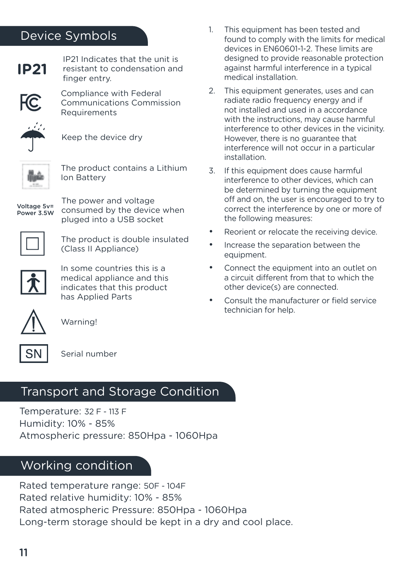# Device Symbols



IP21 Indicates that the unit is resistant to condensation and finger entry.



Compliance with Federal Communications Commission **Requirements** 



Keep the device dry



The product contains a Lithium Ion Battery

Voltage 5v= Power 3.5W The power and voltage consumed by the device when pluged into a USB socket



The product is double insulated (Class II Appliance)



In some countries this is a medical appliance and this indicates that this product has Applied Parts



Warning!



Serial number

# Transport and Storage Condition

Temperature: 32 F - 113 F Humidity: 10% - 85% Atmospheric pressure: 850Hpa - 1060Hpa

# Working condition

Rated temperature range: 50F - 104F Rated relative humidity: 10% - 85% Rated atmospheric Pressure: 850Hpa - 1060Hpa Long-term storage should be kept in a dry and cool place.

- 1. This equipment has been tested and found to comply with the limits for medical devices in EN60601-1-2. These limits are designed to provide reasonable protection against harmful interference in a typical medical installation.
- 2. This equipment generates, uses and can radiate radio frequency energy and if not installed and used in a accordance with the instructions, may cause harmful interference to other devices in the vicinity. However, there is no guarantee that interference will not occur in a particular installation.
- 3. If this equipment does cause harmful interference to other devices, which can be determined by turning the equipment off and on, the user is encouraged to try to correct the interference by one or more of the following measures:
- Reorient or relocate the receiving device.
- Increase the separation between the equipment.
- Connect the equipment into an outlet on a circuit different from that to which the other device(s) are connected.
- Consult the manufacturer or field service technician for help.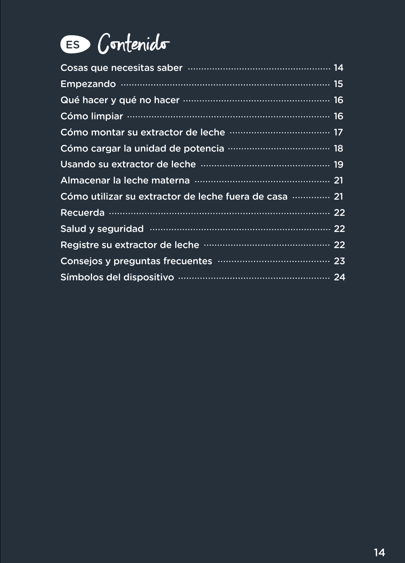

| Cómo utilizar su extractor de leche fuera de casa  21 |
|-------------------------------------------------------|
| Recuerda ……………………………………………………………… 22                  |
|                                                       |
|                                                       |
|                                                       |
|                                                       |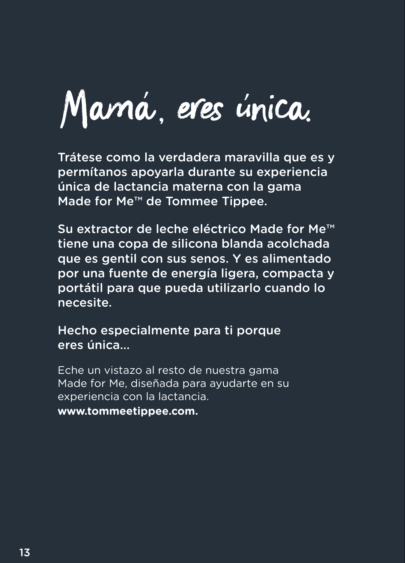Mamá, eres única.

Trátese como la verdadera maravilla que es y permítanos apoyarla durante su experiencia única de lactancia materna con la gama Made for Me™ de Tommee Tippee.

Su extractor de leche eléctrico Made for Me™ tiene una copa de silicona blanda acolchada que es gentil con sus senos. Y es alimentado por una fuente de energía ligera, compacta y portátil para que pueda utilizarlo cuando lo necesite.

Hecho especialmente para ti porque eres única...

Eche un vistazo al resto de nuestra gama Made for Me, diseñada para ayudarte en su experiencia con la lactancia.

**www.tommeetippee.com.**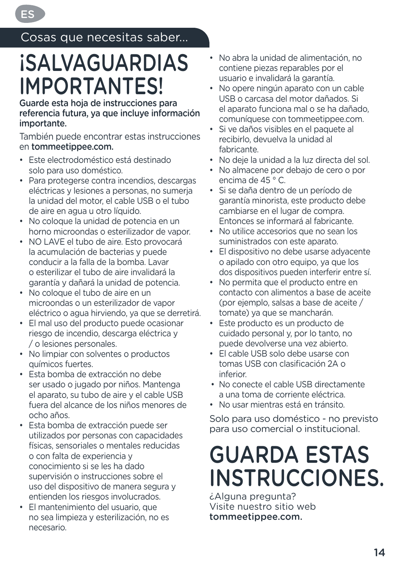Cosas que necesitas saber...

ES

# **iSALVAGUARDIAS** IMPORTANTES!

Guarde esta hoja de instrucciones para referencia futura, ya que incluye información importante.

También puede encontrar estas instrucciones en tommeetippee.com.

- Este electrodoméstico está destinado solo para uso doméstico.
- Para protegerse contra incendios, descargas eléctricas y lesiones a personas, no sumerja la unidad del motor, el cable USB o el tubo de aire en agua u otro líquido.
- No coloque la unidad de potencia en un horno microondas o esterilizador de vapor.
- NO LAVE el tubo de aire. Esto provocará la acumulación de bacterias y puede conducir a la falla de la bomba. Lavar o esterilizar el tubo de aire invalidará la garantía y dañará la unidad de potencia.
- No coloque el tubo de aire en un microondas o un esterilizador de vapor eléctrico o agua hirviendo, ya que se derretirá.
- El mal uso del producto puede ocasionar riesgo de incendio, descarga eléctrica y / o lesiones personales.
- No limpiar con solventes o productos químicos fuertes.
- Esta bomba de extracción no debe ser usado o jugado por niños. Mantenga el aparato, su tubo de aire y el cable USB fuera del alcance de los niños menores de ocho años.
- Esta bomba de extracción puede ser utilizados por personas con capacidades físicas, sensoriales o mentales reducidas o con falta de experiencia y conocimiento si se les ha dado supervisión o instrucciones sobre el uso del dispositivo de manera segura y entienden los riesgos involucrados.
- El mantenimiento del usuario, que no sea limpieza y esterilización, no es necesario.
- No abra la unidad de alimentación, no contiene piezas reparables por el usuario e invalidará la garantía.
- No opere ningún aparato con un cable USB o carcasa del motor dañados. Si el aparato funciona mal o se ha dañado, comuníquese con tommeetippee.com.
- Si ve daños visibles en el paquete al recibirlo, devuelva la unidad al fabricante.
- No deje la unidad a la luz directa del sol.
- No almacene por debajo de cero o por encima de 45 ° C.
- Si se daña dentro de un período de garantía minorista, este producto debe cambiarse en el lugar de compra. Entonces se informará al fabricante.
- No utilice accesorios que no sean los suministrados con este aparato.
- El dispositivo no debe usarse adyacente o apilado con otro equipo, ya que los dos dispositivos pueden interferir entre sí.
- No permita que el producto entre en contacto con alimentos a base de aceite (por ejemplo, salsas a base de aceite / tomate) ya que se mancharán.
- Este producto es un producto de cuidado personal y, por lo tanto, no puede devolverse una vez abierto.
- El cable USB solo debe usarse con tomas USB con clasificación 2A o inferior.
- No conecte el cable USB directamente a una toma de corriente eléctrica.
- No usar mientras está en tránsito.

Solo para uso doméstico - no previsto para uso comercial o institucional.

# GUARDA ESTAS INSTRUCCIONES.

¿Alguna pregunta? Visite nuestro sitio web tommeetippee.com.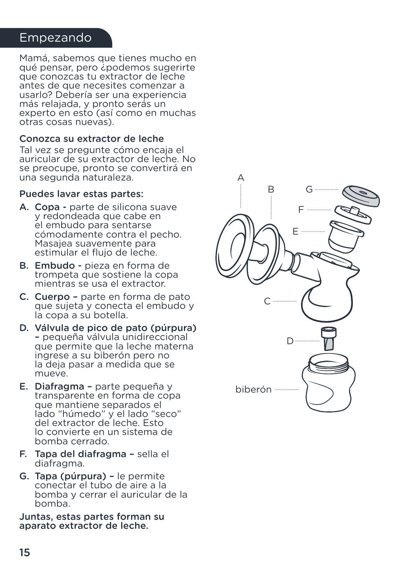#### Empezando

Mamá, sabemos que tienes mucho en qué pensar, pero ¿podemos sugerirte que conozcas tu extractor de leche antes de que necesites comenzar a usarlo? Debería ser una experiencia más relajada, y pronto serás un experto en esto (así como en muchas otras cosas nuevas).

#### Conozca su extractor de leche

Tal vez se pregunte cómo encaja el auricular de su extractor de leche. No se preocupe, pronto se convertirá en una segunda naturaleza.

#### Puedes lavar estas partes:

- A. Copa parte de silicona suave y redondeada que cabe en el embudo para sentarse cómodamente contra el pecho. Masajea suavemente para estimular el flujo de leche.
- B. Embudo pieza en forma de trompeta que sostiene la copa mientras se usa el extractor.
- C. Cuerpo parte en forma de pato que sujeta y conecta el embudo y la copa a su botella.
- D. Válvula de pico de pato (púrpura) – pequeña válvula unidireccional que permite que la leche materna ingrese a su biberón pero no la deja pasar a medida que se mueve.
- E. Diafragma parte pequeña y transparente en forma de copa que mantiene separados el lado "húmedo" y el lado "seco" del extractor de leche. Esto lo convierte en un sistema de bomba cerrado.
- F. Tapa del diafragma sella el diafragma.
- G. Tapa (púrpura) le permite conectar el tubo de aire a la bomba y cerrar el auricular de la bomba.

Juntas, estas partes forman su aparato extractor de leche.

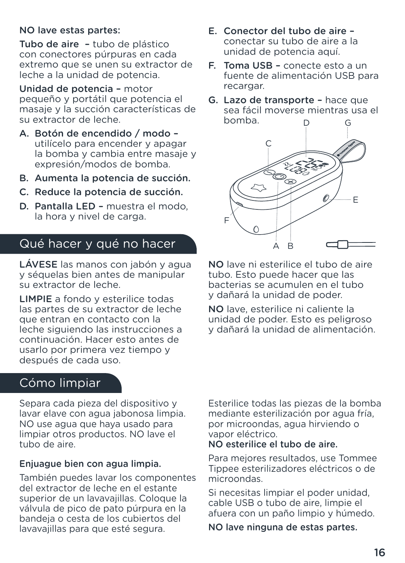#### NO lave estas partes:

Tubo de aire – tubo de plástico con conectores púrpuras en cada extremo que se unen su extractor de leche a la unidad de potencia.

Unidad de potencia – motor pequeño y portátil que potencia el masaje y la succión características de su extractor de leche.

- A. Botón de encendido / modo utilícelo para encender y apagar la bomba y cambia entre masaje y expresión/modos de bomba.
- B. Aumenta la potencia de succión.
- C. Reduce la potencia de succión.
- D. Pantalla LED muestra el modo, la hora y nivel de carga.

# Qué hacer y qué no hacer

LÁVESE las manos con jabón y agua y séquelas bien antes de manipular su extractor de leche.

LIMPIE a fondo y esterilice todas las partes de su extractor de leche que entran en contacto con la leche siguiendo las instrucciones a continuación. Hacer esto antes de usarlo por primera vez tiempo y después de cada uso.

# Cómo limpiar

Separa cada pieza del dispositivo y lavar elave con agua jabonosa limpia. NO use agua que haya usado para limpiar otros productos. NO lave el tubo de aire.

#### Enjuague bien con agua limpia.

También puedes lavar los componentes del extractor de leche en el estante superior de un lavavajillas. Coloque la válvula de pico de pato púrpura en la bandeja o cesta de los cubiertos del lavavajillas para que esté segura.

- E. Conector del tubo de aire conectar su tubo de aire a la unidad de potencia aquí.
- F. Toma USB conecte esto a un fuente de alimentación USB para recargar.
- G. Lazo de transporte hace que sea fácil moverse mientras usa el bomba. D G



NO lave ni esterilice el tubo de aire tubo. Esto puede hacer que las bacterias se acumulen en el tubo y dañará la unidad de poder.

NO lave, esterilice ni caliente la unidad de poder. Esto es peligroso y dañará la unidad de alimentación.

Esterilice todas las piezas de la bomba mediante esterilización por agua fría, por microondas, agua hirviendo o vapor eléctrico.

#### NO esterilice el tubo de aire.

Para mejores resultados, use Tommee Tippee esterilizadores eléctricos o de microondas.

Si necesitas limpiar el poder unidad, cable USB o tubo de aire, limpie el afuera con un paño limpio y húmedo.

NO lave ninguna de estas partes.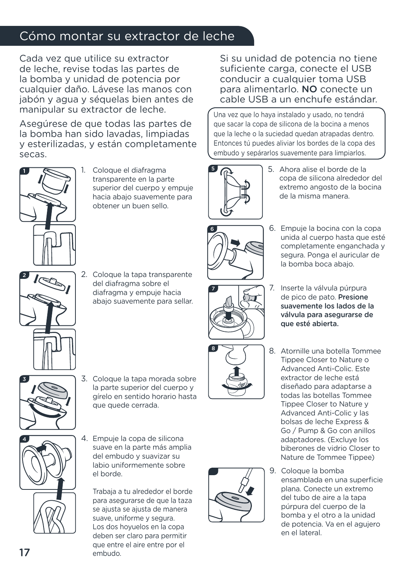# Cómo montar su extractor de leche

Cada vez que utilice su extractor de leche, revise todas las partes de la bomba y unidad de potencia por cualquier daño. Lávese las manos con jabón y agua y séquelas bien antes de manipular su extractor de leche.

Asegúrese de que todas las partes de la bomba han sido lavadas, limpiadas y esterilizadas, y están completamente secas.



1. Coloque el diafragma transparente en la parte superior del cuerpo y empuje hacia abajo suavemente para obtener un buen sello.



2. Coloque la tapa transparente del diafragma sobre el diafragma y empuje hacia abajo suavemente para sellar.



3. Coloque la tapa morada sobre la parte superior del cuerpo y gírelo en sentido horario hasta que quede cerrada.



4. Empuje la copa de silicona suave en la parte más amplia del embudo y suavizar su labio uniformemente sobre el borde.

Trabaja a tu alrededor el borde para asegurarse de que la taza se ajusta se ajusta de manera suave, uniforme y segura. Los dos hoyuelos en la copa deben ser claro para permitir que entre el aire entre por el embudo.

Si su unidad de potencia no tiene suficiente carga, conecte el USB conducir a cualquier toma USB para alimentarlo. NO conecte un cable USB a un enchufe estándar.

Una vez que lo haya instalado y usado, no tendrá que sacar la copa de silicona de la bocina a menos que la leche o la suciedad quedan atrapadas dentro. Entonces tú puedes aliviar los bordes de la copa des embudo y sepárarlos suavemente para limpiarlos.



5. Ahora alise el borde de la copa de silicona alrededor del extremo angosto de la bocina de la misma manera.



6. Empuje la bocina con la copa unida al cuerpo hasta que esté completamente enganchada y segura. Ponga el auricular de la bomba boca abajo.



7. Inserte la válvula púrpura de pico de pato. Presione suavemente los lados de la válvula para asegurarse de que esté abierta.





- 8. Atornille una botella Tommee Tippee Closer to Nature o Advanced Anti-Colic. Este extractor de leche está diseñado para adaptarse a todas las botellas Tommee Tippee Closer to Nature y Advanced Anti-Colic y las bolsas de leche Express & Go / Pump & Go con anillos adaptadores. (Excluye los biberones de vidrio Closer to Nature de Tommee Tippee)
- 9. Coloque la bomba ensamblada en una superficie plana. Conecte un extremo del tubo de aire a la tapa púrpura del cuerpo de la bomba y el otro a la unidad de potencia. Va en el agujero en el lateral.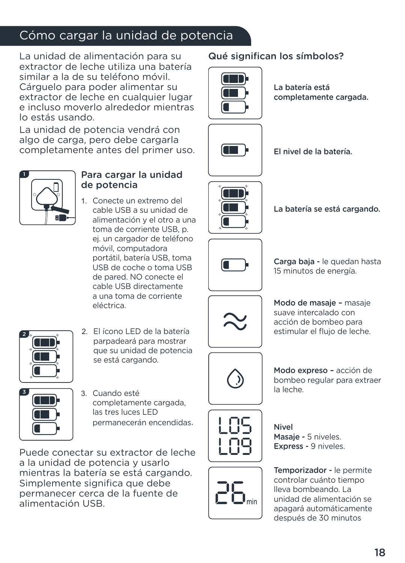# Cómo cargar la unidad de potencia

La unidad de alimentación para su extractor de leche utiliza una batería similar a la de su teléfono móvil. Cárguelo para poder alimentar su extractor de leche en cualquier lugar e incluso moverlo alrededor mientras lo estás usando.

La unidad de potencia vendrá con algo de carga, pero debe cargarla completamente antes del primer uso.



#### Para cargar la unidad de potencia

1. Conecte un extremo del cable USB a su unidad de alimentación y el otro a una toma de corriente USB, p. ej. un cargador de teléfono móvil, computadora portátil, batería USB, toma USB de coche o toma USB de pared. NO conecte el cable USB directamente a una toma de corriente eléctrica.



2. El ícono LED de la batería parpadeará para mostrar que su unidad de potencia se está cargando.



3. Cuando esté completamente cargada, las tres luces LED permanecerán encendidas.

Puede conectar su extractor de leche a la unidad de potencia y usarlo mientras la batería se está cargando. Simplemente significa que debe permanecer cerca de la fuente de alimentación USB.

## Qué significan los símbolos?



La batería está completamente cargada.







La batería se está cargando.



Carga baja - le quedan hasta 15 minutos de energía.



Modo de masaje – masaje suave intercalado con acción de bombeo para estimular el flujo de leche.



Modo expreso – acción de bombeo regular para extraer la leche.



Nivel Masaje - 5 niveles. Express - 9 niveles.

Temporizador - le permite controlar cuánto tiempo lleva bombeando. La unidad de alimentación se apagará automáticamente después de 30 minutos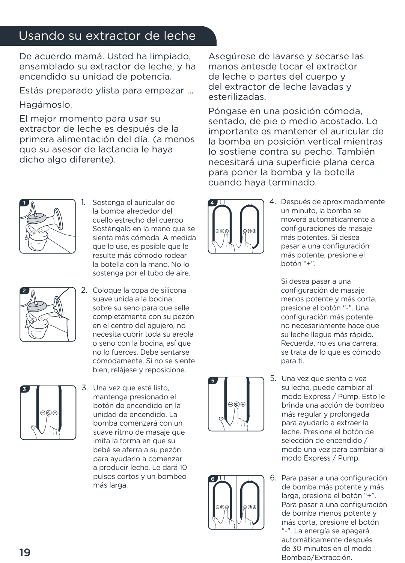# Usando su extractor de leche

De acuerdo mamá. Usted ha limpiado, ensamblado su extractor de leche, y ha encendido su unidad de potencia.

Estás preparado ylista para empezar ...

Hagámoslo.

El mejor momento para usar su extractor de leche es después de la primera alimentación del día. (a menos que su asesor de lactancia le haya dicho algo diferente).



Póngase en una posición cómoda, sentado, de pie o medio acostado. Lo importante es mantener el auricular de la bomba en posición vertical mientras lo sostiene contra su pecho. También necesitará una superficie plana cerca para poner la bomba y la botella cuando haya terminado.



Sostenga el auricular de la bomba alrededor del cuello estrecho del cuerpo. Sosténgalo en la mano que se sienta más cómoda. A medida que lo use, es posible que le resulte más cómodo rodear la botella con la mano. No lo sostenga por el tubo de aire.



2. Coloque la copa de silicona suave unida a la bocina sobre su seno para que selle completamente con su pezón en el centro del agujero, no necesita cubrir toda su areola o seno con la bocina, así que no lo fuerces. Debe sentarse cómodamente. Si no se siente bien, relájese y reposicione.



3. Una vez que esté listo, mantenga presionado el botón de encendido en la unidad de encendido. La bomba comenzará con un suave ritmo de masaje que imita la forma en que su bebé se aferra a su pezón para ayudarlo a comenzar a producir leche. Le dará 10 pulsos cortos y un bombeo más larga.



4. Después de aproximadamente un minuto, la bomba se moverá automáticamente a configuraciones de masaje más potentes. Si desea pasar a una configuración más potente, presione el botón "+".

Si desea pasar a una configuración de masaje menos potente y más corta, presione el botón "-". Una configuración más potente no necesariamente hace que su leche llegue más rápido. Recuerda, no es una carrera; se trata de lo que es cómodo para ti.





- 5. Una vez que sienta o vea su leche, puede cambiar al modo Express / Pump. Esto le brinda una acción de bombeo más regular y prolongada para ayudarlo a extraer la leche. Presione el botón de selección de encendido / modo una vez para cambiar al modo Express / Pump.
- 6. Para pasar a una configuración de bomba más potente y más larga, presione el botón "+". Para pasar a una configuración de bomba menos potente y más corta, presione el botón "-". La energía se apagará automáticamente después de 30 minutos en el modo Bombeo/Extracción.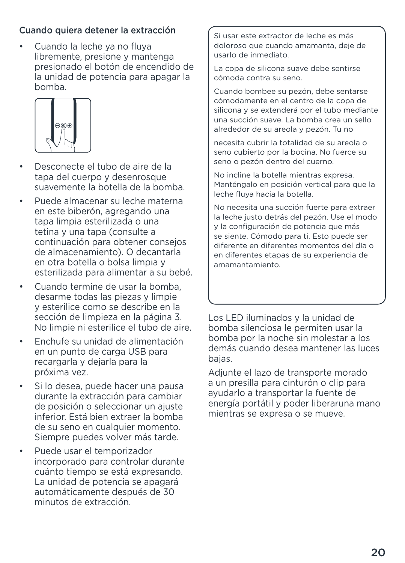#### Cuando quiera detener la extracción

• Cuando la leche ya no fluya libremente, presione y mantenga presionado el botón de encendido de la unidad de potencia para apagar la bomba.



- Desconecte el tubo de aire de la tapa del cuerpo y desenrosque suavemente la botella de la bomba.
- Puede almacenar su leche materna en este biberón, agregando una tapa limpia esterilizada o una tetina y una tapa (consulte a continuación para obtener consejos de almacenamiento). O decantarla en otra botella o bolsa limpia y esterilizada para alimentar a su bebé.
- Cuando termine de usar la bomba. desarme todas las piezas y limpie y esterilice como se describe en la sección de limpieza en la página 3. No limpie ni esterilice el tubo de aire.
- Enchufe su unidad de alimentación en un punto de carga USB para recargarla y dejarla para la próxima vez.
- Si lo desea, puede hacer una pausa durante la extracción para cambiar de posición o seleccionar un ajuste inferior. Está bien extraer la bomba de su seno en cualquier momento. Siempre puedes volver más tarde.
- Puede usar el temporizador incorporado para controlar durante cuánto tiempo se está expresando. La unidad de potencia se apagará automáticamente después de 30 minutos de extracción.

Si usar este extractor de leche es más doloroso que cuando amamanta, deje de usarlo de inmediato.

La copa de silicona suave debe sentirse cómoda contra su seno.

Cuando bombee su pezón, debe sentarse cómodamente en el centro de la copa de silicona y se extenderá por el tubo mediante una succión suave. La bomba crea un sello alrededor de su areola y pezón. Tu no

necesita cubrir la totalidad de su areola o seno cubierto por la bocina. No fuerce su seno o pezón dentro del cuerno.

No incline la botella mientras expresa. Manténgalo en posición vertical para que la leche fluya hacia la botella.

No necesita una succión fuerte para extraer la leche justo detrás del pezón. Use el modo y la configuración de potencia que más se siente. Cómodo para ti. Esto puede ser diferente en diferentes momentos del día o en diferentes etapas de su experiencia de amamantamiento.

Los LED iluminados y la unidad de bomba silenciosa le permiten usar la bomba por la noche sin molestar a los demás cuando desea mantener las luces bajas.

Adjunte el lazo de transporte morado a un presilla para cinturón o clip para ayudarlo a transportar la fuente de energía portátil y poder liberaruna mano mientras se expresa o se mueve.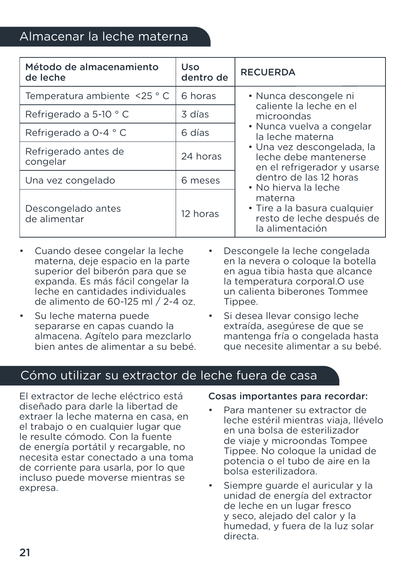# Almacenar la leche materna

| Método de almacenamiento<br>de leche | Uso<br>dentro de | <b>RECUERDA</b>                                                                                                                                                                                                                                                                                                                                    |
|--------------------------------------|------------------|----------------------------------------------------------------------------------------------------------------------------------------------------------------------------------------------------------------------------------------------------------------------------------------------------------------------------------------------------|
| Temperatura ambiente <25 °C          | 6 horas          | • Nunca descongele ni<br>caliente la leche en el<br>microondas<br>• Nunca vuelva a congelar<br>la leche materna<br>• Una vez descongelada, la<br>leche debe mantenerse<br>en el refrigerador y usarse<br>dentro de las 12 horas<br>• No hierva la leche<br>materna<br>• Tire a la basura cualquier<br>resto de leche después de<br>la alimentación |
| Refrigerado a 5-10 ° C               | 3 días           |                                                                                                                                                                                                                                                                                                                                                    |
| Refrigerado a 0-4 ° C                | 6 días           |                                                                                                                                                                                                                                                                                                                                                    |
| Refrigerado antes de<br>congelar     | 24 horas         |                                                                                                                                                                                                                                                                                                                                                    |
| Una vez congelado                    | 6 meses          |                                                                                                                                                                                                                                                                                                                                                    |
| Descongelado antes<br>de alimentar   | 12 horas         |                                                                                                                                                                                                                                                                                                                                                    |

- Cuando desee congelar la leche materna, deje espacio en la parte superior del biberón para que se expanda. Es más fácil congelar la leche en cantidades individuales de alimento de 60-125 ml / 2-4 oz.
- Su leche materna puede separarse en capas cuando la almacena. Agítelo para mezclarlo bien antes de alimentar a su bebé.
- Descongele la leche congelada en la nevera o coloque la botella en agua tibia hasta que alcance la temperatura corporal.O use un calienta biberones Tommee Tippee.
- Si desea llevar consigo leche extraída, asegúrese de que se mantenga fría o congelada hasta que necesite alimentar a su bebé.

# Cómo utilizar su extractor de leche fuera de casa

El extractor de leche eléctrico está diseñado para darle la libertad de extraer la leche materna en casa, en el trabajo o en cualquier lugar que le resulte cómodo. Con la fuente de energía portátil y recargable, no necesita estar conectado a una toma de corriente para usarla, por lo que incluso puede moverse mientras se expresa.

#### Cosas importantes para recordar:

- Para mantener su extractor de leche estéril mientras viaja, llévelo en una bolsa de esterilizador de viaje y microondas Tompee Tippee. No coloque la unidad de potencia o el tubo de aire en la bolsa esterilizadora.
- Siempre guarde el auricular y la unidad de energía del extractor de leche en un lugar fresco y seco, alejado del calor y la humedad, y fuera de la luz solar directa.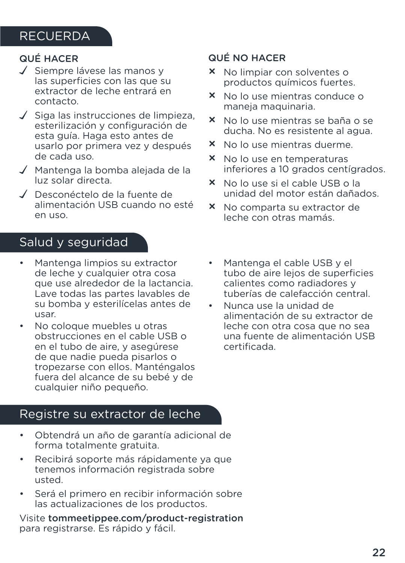# **RECUERDA**

# QUÉ HACER

- $\sqrt{\ }$  Siempre lávese las manos y las superficies con las que su extractor de leche entrará en contacto.
- $\checkmark$  Siga las instrucciones de limpieza, esterilización y configuración de esta guía. Haga esto antes de usarlo por primera vez y después de cada uso.
- Mantenga la bomba alejada de la luz solar directa.
- Desconéctelo de la fuente de alimentación USB cuando no esté en uso.

# Salud y seguridad

- Mantenga limpios su extractor de leche y cualquier otra cosa que use alrededor de la lactancia. Lave todas las partes lavables de su bomba y esterilícelas antes de usar.
- No coloque muebles u otras obstrucciones en el cable USB o en el tubo de aire, y asegúrese de que nadie pueda pisarlos o tropezarse con ellos. Manténgalos fuera del alcance de su bebé y de cualquier niño pequeño.

### Registre su extractor de leche

- Obtendrá un año de garantía adicional de forma totalmente gratuita.
- Recibirá soporte más rápidamente ya que tenemos información registrada sobre usted.
- Será el primero en recibir información sobre las actualizaciones de los productos.

Visite tommeetippee.com/product-registration para registrarse. Es rápido y fácil.

### QUÉ NO HACER

- × No limpiar con solventes o productos químicos fuertes.
- × No lo use mientras conduce o maneja maquinaria.
- × No lo use mientras se baña o se ducha. No es resistente al agua.
- × No lo use mientras duerme.
- × No lo use en temperaturas inferiores a 10 grados centígrados.
- × No lo use si el cable USB o la unidad del motor están dañados.
- × No comparta su extractor de leche con otras mamás.
- Mantenga el cable USB y el tubo de aire lejos de superficies calientes como radiadores y tuberías de calefacción central.
- Nunca use la unidad de alimentación de su extractor de leche con otra cosa que no sea una fuente de alimentación USB certificada.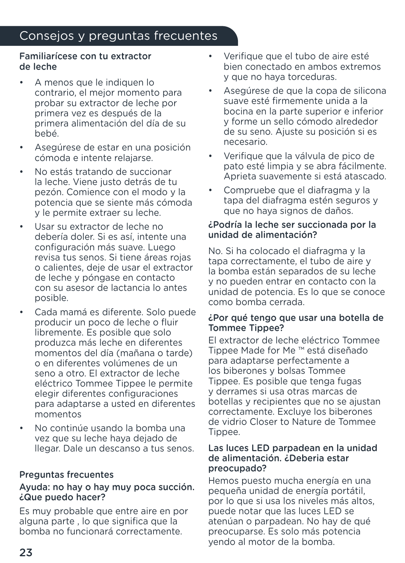# Consejos y preguntas frecuentes

#### Familiarícese con tu extractor de leche

- A menos que le indiquen lo contrario, el mejor momento para probar su extractor de leche por primera vez es después de la primera alimentación del día de su bebé.
- Asegúrese de estar en una posición cómoda e intente relajarse.
- No estás tratando de succionar la leche. Viene justo detrás de tu pezón. Comience con el modo y la potencia que se siente más cómoda y le permite extraer su leche.
- Usar su extractor de leche no debería doler. Si es así, intente una configuración más suave. Luego revisa tus senos. Si tiene áreas rojas o calientes, deje de usar el extractor de leche y póngase en contacto con su asesor de lactancia lo antes posible.
- Cada mamá es diferente. Solo puede producir un poco de leche o fluir libremente. Es posible que solo produzca más leche en diferentes momentos del día (mañana o tarde) o en diferentes volúmenes de un seno a otro. El extractor de leche eléctrico Tommee Tippee le permite elegir diferentes configuraciones para adaptarse a usted en diferentes momentos
- No continúe usando la bomba una vez que su leche haya dejado de llegar. Dale un descanso a tus senos.

#### Preguntas frecuentes

#### Ayuda: no hay o hay muy poca succión. ¿Que puedo hacer?

Es muy probable que entre aire en por alguna parte , lo que significa que la bomba no funcionará correctamente.

- Verifique que el tubo de aire esté bien conectado en ambos extremos y que no haya torceduras.
- Asegúrese de que la copa de silicona suave esté firmemente unida a la bocina en la parte superior e inferior y forme un sello cómodo alrededor de su seno. Ajuste su posición si es necesario.
- Verifique que la válvula de pico de pato esté limpia y se abra fácilmente. Aprieta suavemente si está atascado.
- Compruebe que el diafragma y la tapa del diafragma estén seguros y que no haya signos de daños.

#### ¿Podría la leche ser succionada por la unidad de alimentación?

No. Si ha colocado el diafragma y la tapa correctamente, el tubo de aire y la bomba están separados de su leche y no pueden entrar en contacto con la unidad de potencia. Es lo que se conoce como bomba cerrada.

#### ¿Por qué tengo que usar una botella de Tommee Tippee?

El extractor de leche eléctrico Tommee Tippee Made for Me ™ está diseñado para adaptarse perfectamente a los biberones y bolsas Tommee Tippee. Es posible que tenga fugas y derrames si usa otras marcas de botellas y recipientes que no se ajustan correctamente. Excluye los biberones de vidrio Closer to Nature de Tommee Tippee.

#### Las luces LED parpadean en la unidad de alimentación. ¿Deberia estar preocupado?

Hemos puesto mucha energía en una pequeña unidad de energía portátil, por lo que si usa los niveles más altos, puede notar que las luces LED se atenúan o parpadean. No hay de qué preocuparse. Es solo más potencia yendo al motor de la bomba.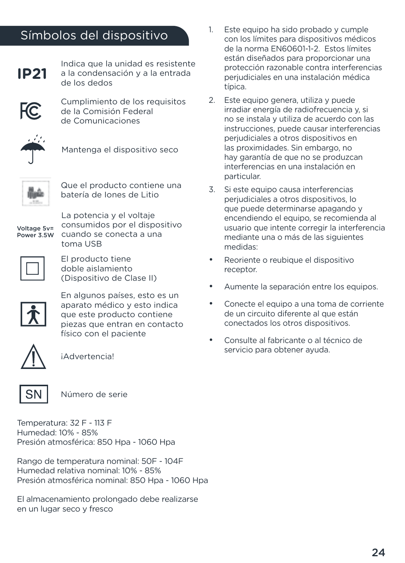# Símbolos del dispositivo



Indica que la unidad es resistente a la condensación y a la entrada de los dedos



Cumplimiento de los requisitos de la Comisión Federal de Comunicaciones



Mantenga el dispositivo seco



Que el producto contiene una batería de Iones de Litio

Voltage 5v= Power 3.5W

La potencia y el voltaje consumidos por el dispositivo cuando se conecta a una toma USB



El producto tiene doble aislamiento (Dispositivo de Clase II)



En algunos países, esto es un aparato médico y esto indica que este producto contiene piezas que entran en contacto físico con el paciente



¡Advertencia!



Número de serie

Temperatura: 32 F - 113 F Humedad: 10% - 85% Presión atmosférica: 850 Hpa - 1060 Hpa

Rango de temperatura nominal: 50F - 104F Humedad relativa nominal: 10% - 85% Presión atmosférica nominal: 850 Hpa - 1060 Hpa

El almacenamiento prolongado debe realizarse en un lugar seco y fresco

- 1. Este equipo ha sido probado y cumple con los límites para dispositivos médicos de la norma EN60601-1-2. Estos límites están diseñados para proporcionar una protección razonable contra interferencias perjudiciales en una instalación médica típica.
- 2. Este equipo genera, utiliza y puede irradiar energía de radiofrecuencia y, si no se instala y utiliza de acuerdo con las instrucciones, puede causar interferencias perjudiciales a otros dispositivos en las proximidades. Sin embargo, no hay garantía de que no se produzcan interferencias en una instalación en particular.
- 3. Si este equipo causa interferencias perjudiciales a otros dispositivos, lo que puede determinarse apagando y encendiendo el equipo, se recomienda al usuario que intente corregir la interferencia mediante una o más de las siguientes medidas:
- Reoriente o reubique el dispositivo receptor.
- Aumente la separación entre los equipos.
- Conecte el equipo a una toma de corriente de un circuito diferente al que están conectados los otros dispositivos.
- Consulte al fabricante o al técnico de servicio para obtener ayuda.